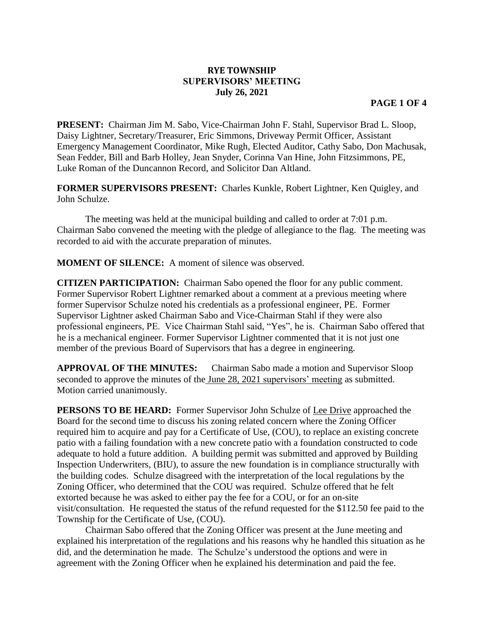## **RYE TOWNSHIP SUPERVISORS' MEETING July 26, 2021**

**PRESENT:** Chairman Jim M. Sabo, Vice-Chairman John F. Stahl, Supervisor Brad L. Sloop, Daisy Lightner, Secretary/Treasurer, Eric Simmons, Driveway Permit Officer, Assistant Emergency Management Coordinator, Mike Rugh, Elected Auditor, Cathy Sabo, Don Machusak, Sean Fedder, Bill and Barb Holley, Jean Snyder, Corinna Van Hine, John Fitzsimmons, PE, Luke Roman of the Duncannon Record, and Solicitor Dan Altland.

**FORMER SUPERVISORS PRESENT:** Charles Kunkle, Robert Lightner, Ken Quigley, and John Schulze.

The meeting was held at the municipal building and called to order at 7:01 p.m. Chairman Sabo convened the meeting with the pledge of allegiance to the flag. The meeting was recorded to aid with the accurate preparation of minutes.

**MOMENT OF SILENCE:** A moment of silence was observed.

**CITIZEN PARTICIPATION:** Chairman Sabo opened the floor for any public comment. Former Supervisor Robert Lightner remarked about a comment at a previous meeting where former Supervisor Schulze noted his credentials as a professional engineer, PE. Former Supervisor Lightner asked Chairman Sabo and Vice-Chairman Stahl if they were also professional engineers, PE. Vice Chairman Stahl said, "Yes", he is. Chairman Sabo offered that he is a mechanical engineer. Former Supervisor Lightner commented that it is not just one member of the previous Board of Supervisors that has a degree in engineering.

**APPROVAL OF THE MINUTES:** Chairman Sabo made a motion and Supervisor Sloop seconded to approve the minutes of the June 28, 2021 supervisors' meeting as submitted. Motion carried unanimously.

**PERSONS TO BE HEARD:** Former Supervisor John Schulze of Lee Drive approached the Board for the second time to discuss his zoning related concern where the Zoning Officer required him to acquire and pay for a Certificate of Use, (COU), to replace an existing concrete patio with a failing foundation with a new concrete patio with a foundation constructed to code adequate to hold a future addition. A building permit was submitted and approved by Building Inspection Underwriters, (BIU), to assure the new foundation is in compliance structurally with the building codes. Schulze disagreed with the interpretation of the local regulations by the Zoning Officer, who determined that the COU was required. Schulze offered that he felt extorted because he was asked to either pay the fee for a COU, or for an on-site visit/consultation. He requested the status of the refund requested for the \$112.50 fee paid to the Township for the Certificate of Use, (COU).

Chairman Sabo offered that the Zoning Officer was present at the June meeting and explained his interpretation of the regulations and his reasons why he handled this situation as he did, and the determination he made. The Schulze's understood the options and were in agreement with the Zoning Officer when he explained his determination and paid the fee.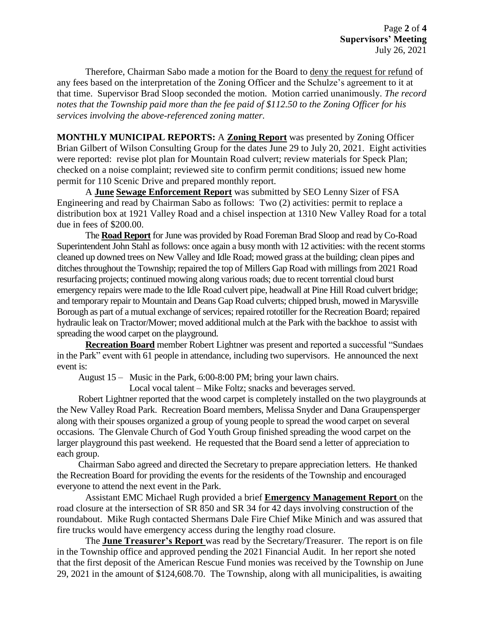Page **2** of **4 Supervisors' Meeting** July 26, 2021

Therefore, Chairman Sabo made a motion for the Board to deny the request for refund of any fees based on the interpretation of the Zoning Officer and the Schulze's agreement to it at that time. Supervisor Brad Sloop seconded the motion. Motion carried unanimously. *The record notes that the Township paid more than the fee paid of \$112.50 to the Zoning Officer for his services involving the above-referenced zoning matter.*

**MONTHLY MUNICIPAL REPORTS:** A **Zoning Report** was presented by Zoning Officer Brian Gilbert of Wilson Consulting Group for the dates June 29 to July 20, 2021. Eight activities were reported: revise plot plan for Mountain Road culvert; review materials for Speck Plan; checked on a noise complaint; reviewed site to confirm permit conditions; issued new home permit for 110 Scenic Drive and prepared monthly report.

A **June Sewage Enforcement Report** was submitted by SEO Lenny Sizer of FSA Engineering and read by Chairman Sabo as follows: Two (2) activities: permit to replace a distribution box at 1921 Valley Road and a chisel inspection at 1310 New Valley Road for a total due in fees of \$200.00.

The **Road Report** for June was provided by Road Foreman Brad Sloop and read by Co-Road Superintendent John Stahl as follows: once again a busy month with 12 activities: with the recent storms cleaned up downed trees on New Valley and Idle Road; mowed grass at the building; clean pipes and ditches throughout the Township; repaired the top of Millers Gap Road with millings from 2021 Road resurfacing projects; continued mowing along various roads; due to recent torrential cloud burst emergency repairs were made to the Idle Road culvert pipe, headwall at Pine Hill Road culvert bridge; and temporary repair to Mountain and Deans Gap Road culverts; chipped brush, mowed in Marysville Borough as part of a mutual exchange of services; repaired rototiller for the Recreation Board; repaired hydraulic leak on Tractor/Mower; moved additional mulch at the Park with the backhoe to assist with spreading the wood carpet on the playground.

**Recreation Board** member Robert Lightner was present and reported a successful "Sundaes in the Park" event with 61 people in attendance, including two supervisors. He announced the next event is:

August 15 – Music in the Park, 6:00-8:00 PM; bring your lawn chairs.

Local vocal talent – Mike Foltz; snacks and beverages served.

Robert Lightner reported that the wood carpet is completely installed on the two playgrounds at the New Valley Road Park. Recreation Board members, Melissa Snyder and Dana Graupensperger along with their spouses organized a group of young people to spread the wood carpet on several occasions. The Glenvale Church of God Youth Group finished spreading the wood carpet on the larger playground this past weekend. He requested that the Board send a letter of appreciation to each group.

Chairman Sabo agreed and directed the Secretary to prepare appreciation letters. He thanked the Recreation Board for providing the events for the residents of the Township and encouraged everyone to attend the next event in the Park.

Assistant EMC Michael Rugh provided a brief **Emergency Management Report** on the road closure at the intersection of SR 850 and SR 34 for 42 days involving construction of the roundabout. Mike Rugh contacted Shermans Dale Fire Chief Mike Minich and was assured that fire trucks would have emergency access during the lengthy road closure.

The **June Treasurer's Report** was read by the Secretary/Treasurer. The report is on file in the Township office and approved pending the 2021 Financial Audit. In her report she noted that the first deposit of the American Rescue Fund monies was received by the Township on June 29, 2021 in the amount of \$124,608.70. The Township, along with all municipalities, is awaiting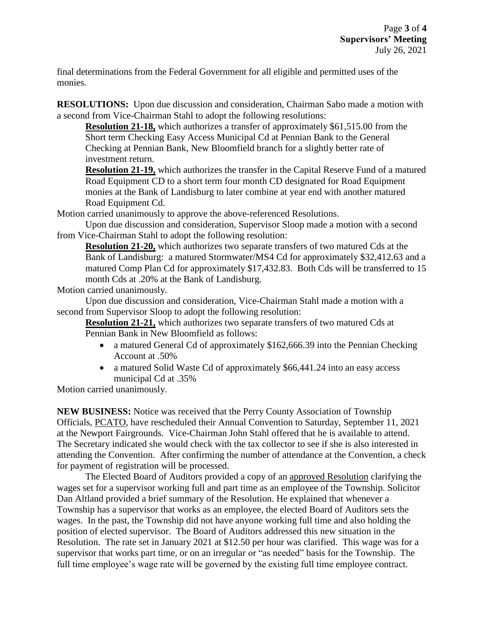final determinations from the Federal Government for all eligible and permitted uses of the monies.

**RESOLUTIONS:** Upon due discussion and consideration, Chairman Sabo made a motion with a second from Vice-Chairman Stahl to adopt the following resolutions:

**Resolution 21-18,** which authorizes a transfer of approximately \$61,515.00 from the Short term Checking Easy Access Municipal Cd at Pennian Bank to the General Checking at Pennian Bank, New Bloomfield branch for a slightly better rate of investment return.

**Resolution 21-19,** which authorizes the transfer in the Capital Reserve Fund of a matured Road Equipment CD to a short term four month CD designated for Road Equipment monies at the Bank of Landisburg to later combine at year end with another matured Road Equipment Cd.

Motion carried unanimously to approve the above-referenced Resolutions.

Upon due discussion and consideration, Supervisor Sloop made a motion with a second from Vice-Chairman Stahl to adopt the following resolution:

**Resolution 21-20,** which authorizes two separate transfers of two matured Cds at the Bank of Landisburg: a matured Stormwater/MS4 Cd for approximately \$32,412.63 and a matured Comp Plan Cd for approximately \$17,432.83. Both Cds will be transferred to 15 month Cds at .20% at the Bank of Landisburg.

Motion carried unanimously.

Upon due discussion and consideration, Vice-Chairman Stahl made a motion with a second from Supervisor Sloop to adopt the following resolution:

**Resolution 21-21,** which authorizes two separate transfers of two matured Cds at Pennian Bank in New Bloomfield as follows:

- a matured General Cd of approximately \$162,666.39 into the Pennian Checking Account at .50%
- a matured Solid Waste Cd of approximately \$66,441.24 into an easy access municipal Cd at .35%

Motion carried unanimously.

**NEW BUSINESS:** Notice was received that the Perry County Association of Township Officials, PCATO, have rescheduled their Annual Convention to Saturday, September 11, 2021 at the Newport Fairgrounds. Vice-Chairman John Stahl offered that he is available to attend. The Secretary indicated she would check with the tax collector to see if she is also interested in attending the Convention. After confirming the number of attendance at the Convention, a check for payment of registration will be processed.

The Elected Board of Auditors provided a copy of an approved Resolution clarifying the wages set for a supervisor working full and part time as an employee of the Township. Solicitor Dan Altland provided a brief summary of the Resolution. He explained that whenever a Township has a supervisor that works as an employee, the elected Board of Auditors sets the wages. In the past, the Township did not have anyone working full time and also holding the position of elected supervisor. The Board of Auditors addressed this new situation in the Resolution. The rate set in January 2021 at \$12.50 per hour was clarified. This wage was for a supervisor that works part time, or on an irregular or "as needed" basis for the Township. The full time employee's wage rate will be governed by the existing full time employee contract.